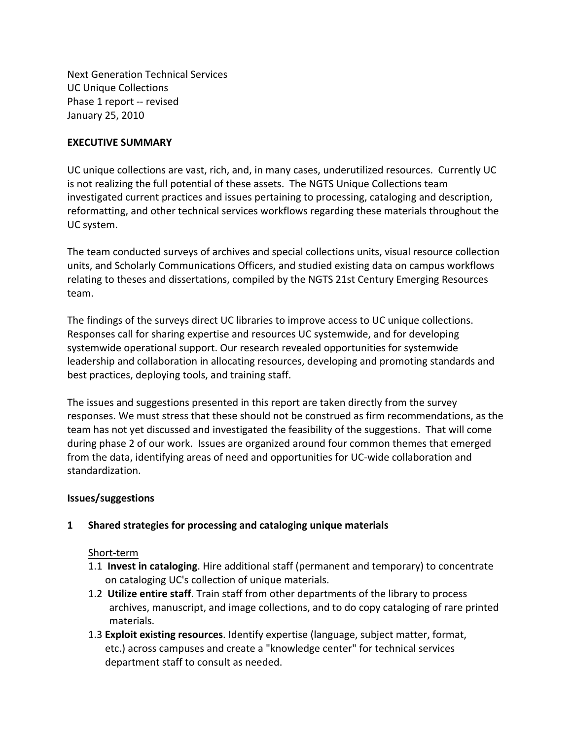Next Generation Technical Services UC Unique Collections Phase 1 report -- revised January 25, 2010

## **EXECUTIVE SUMMARY**

UC unique collections are vast, rich, and, in many cases, underutilized resources. Currently UC is not realizing the full potential of these assets. The NGTS Unique Collections team investigated current practices and issues pertaining to processing, cataloging and description, reformatting, and other technical services workflows regarding these materials throughout the UC system.

The team conducted surveys of archives and special collections units, visual resource collection units, and Scholarly Communications Officers, and studied existing data on campus workflows relating to theses and dissertations, compiled by the NGTS 21st Century Emerging Resources team.

The findings of the surveys direct UC libraries to improve access to UC unique collections. Responses call for sharing expertise and resources UC systemwide, and for developing systemwide operational support. Our research revealed opportunities for systemwide leadership and collaboration in allocating resources, developing and promoting standards and best practices, deploying tools, and training staff.

The issues and suggestions presented in this report are taken directly from the survey responses. We must stress that these should not be construed as firm recommendations, as the team has not yet discussed and investigated the feasibility of the suggestions. That will come during phase 2 of our work. Issues are organized around four common themes that emerged from the data, identifying areas of need and opportunities for UC-wide collaboration and standardization.

## **Issues/suggestions**

## **1** Shared strategies for processing and cataloging unique materials

## Short-term

- 1.1 **Invest in cataloging**. Hire additional staff (permanent and temporary) to concentrate on cataloging UC's collection of unique materials.
- 1.2 **Utilize entire staff**. Train staff from other departments of the library to process archives, manuscript, and image collections, and to do copy cataloging of rare printed materials.
- 1.3 **Exploit existing resources**. Identify expertise (language, subject matter, format, etc.) across campuses and create a "knowledge center" for technical services department staff to consult as needed.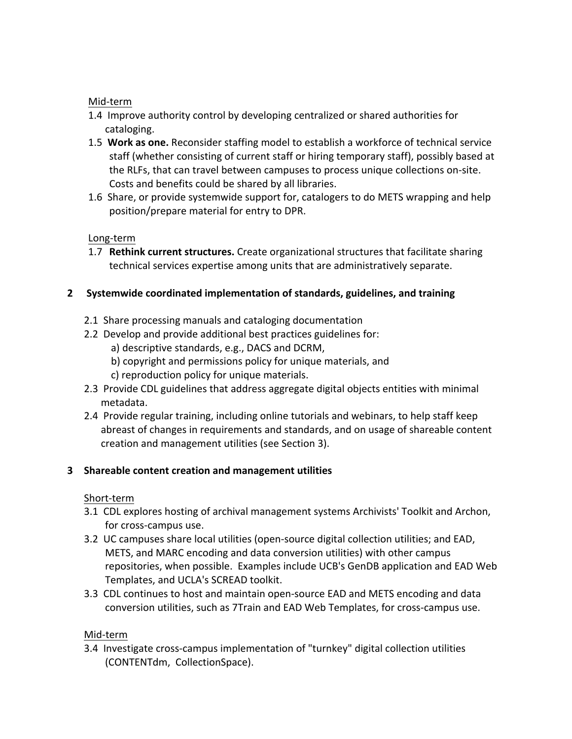# Mid-term

- 1.4 Improve authority control by developing centralized or shared authorities for cataloging.
- 1.5 Work as one. Reconsider staffing model to establish a workforce of technical service staff (whether consisting of current staff or hiring temporary staff), possibly based at the RLFs, that can travel between campuses to process unique collections on-site. Costs and benefits could be shared by all libraries.
- 1.6 Share, or provide systemwide support for, catalogers to do METS wrapping and help position/prepare material for entry to DPR.

# Long-term

1.7 **Rethink current structures.** Create organizational structures that facilitate sharing technical services expertise among units that are administratively separate.

# **2** Systemwide coordinated implementation of standards, guidelines, and training

- 2.1 Share processing manuals and cataloging documentation
- 2.2 Develop and provide additional best practices guidelines for: a) descriptive standards, e.g., DACS and DCRM,
	- b) copyright and permissions policy for unique materials, and
	- c) reproduction policy for unique materials.
- 2.3 Provide CDL guidelines that address aggregate digital objects entities with minimal metadata.
- 2.4 Provide regular training, including online tutorials and webinars, to help staff keep abreast of changes in requirements and standards, and on usage of shareable content creation and management utilities (see Section 3).

# **3** Shareable content creation and management utilities

# Short-term

- 3.1 CDL explores hosting of archival management systems Archivists' Toolkit and Archon, for cross-campus use.
- 3.2 UC campuses share local utilities (open-source digital collection utilities; and EAD, METS, and MARC encoding and data conversion utilities) with other campus repositories, when possible. Examples include UCB's GenDB application and EAD Web Templates, and UCLA's SCREAD toolkit.
- 3.3 CDL continues to host and maintain open-source EAD and METS encoding and data conversion utilities, such as 7Train and EAD Web Templates, for cross-campus use.

## Mid-term

3.4 Investigate cross-campus implementation of "turnkey" digital collection utilities (CONTENTdm, CollectionSpace).